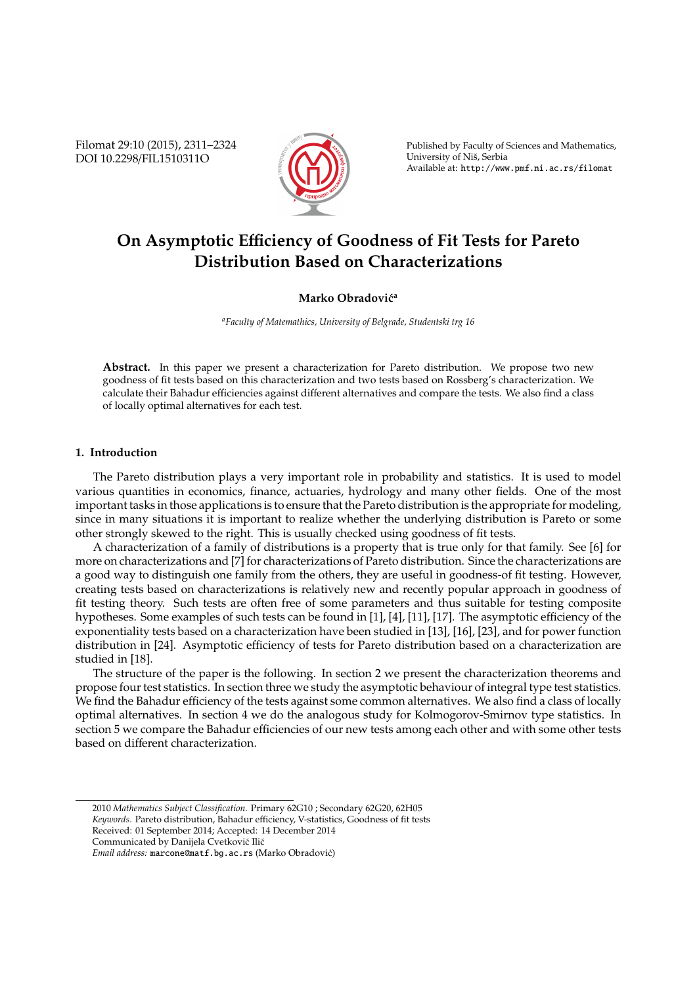Filomat 29:10 (2015), 2311–2324 DOI 10.2298/FIL1510311O



Published by Faculty of Sciences and Mathematics, University of Niš, Serbia Available at: http://www.pmf.ni.ac.rs/filomat

# **On Asymptotic E**ffi**ciency of Goodness of Fit Tests for Pareto Distribution Based on Characterizations**

# **Marko Obradović<sup>a</sup>**

*<sup>a</sup>Faculty of Matemathics, University of Belgrade, Studentski trg 16*

**Abstract.** In this paper we present a characterization for Pareto distribution. We propose two new goodness of fit tests based on this characterization and two tests based on Rossberg's characterization. We calculate their Bahadur efficiencies against different alternatives and compare the tests. We also find a class of locally optimal alternatives for each test.

# **1. Introduction**

The Pareto distribution plays a very important role in probability and statistics. It is used to model various quantities in economics, finance, actuaries, hydrology and many other fields. One of the most important tasks in those applications is to ensure that the Pareto distribution is the appropriate for modeling, since in many situations it is important to realize whether the underlying distribution is Pareto or some other strongly skewed to the right. This is usually checked using goodness of fit tests.

A characterization of a family of distributions is a property that is true only for that family. See [6] for more on characterizations and [7] for characterizations of Pareto distribution. Since the characterizations are a good way to distinguish one family from the others, they are useful in goodness-of fit testing. However, creating tests based on characterizations is relatively new and recently popular approach in goodness of fit testing theory. Such tests are often free of some parameters and thus suitable for testing composite hypotheses. Some examples of such tests can be found in [1], [4], [11], [17]. The asymptotic efficiency of the exponentiality tests based on a characterization have been studied in [13], [16], [23], and for power function distribution in [24]. Asymptotic efficiency of tests for Pareto distribution based on a characterization are studied in [18].

The structure of the paper is the following. In section 2 we present the characterization theorems and propose four test statistics. In section three we study the asymptotic behaviour of integral type test statistics. We find the Bahadur efficiency of the tests against some common alternatives. We also find a class of locally optimal alternatives. In section 4 we do the analogous study for Kolmogorov-Smirnov type statistics. In section 5 we compare the Bahadur efficiencies of our new tests among each other and with some other tests based on different characterization.

<sup>2010</sup> *Mathematics Subject Classification*. Primary 62G10 ; Secondary 62G20, 62H05 *Keywords*. Pareto distribution, Bahadur efficiency, V-statistics, Goodness of fit tests

Received: 01 September 2014; Accepted: 14 December 2014

Communicated by Danijela Cvetković Ilić

*Email address:* marcone@matf.bg.ac.rs (Marko Obradovic)´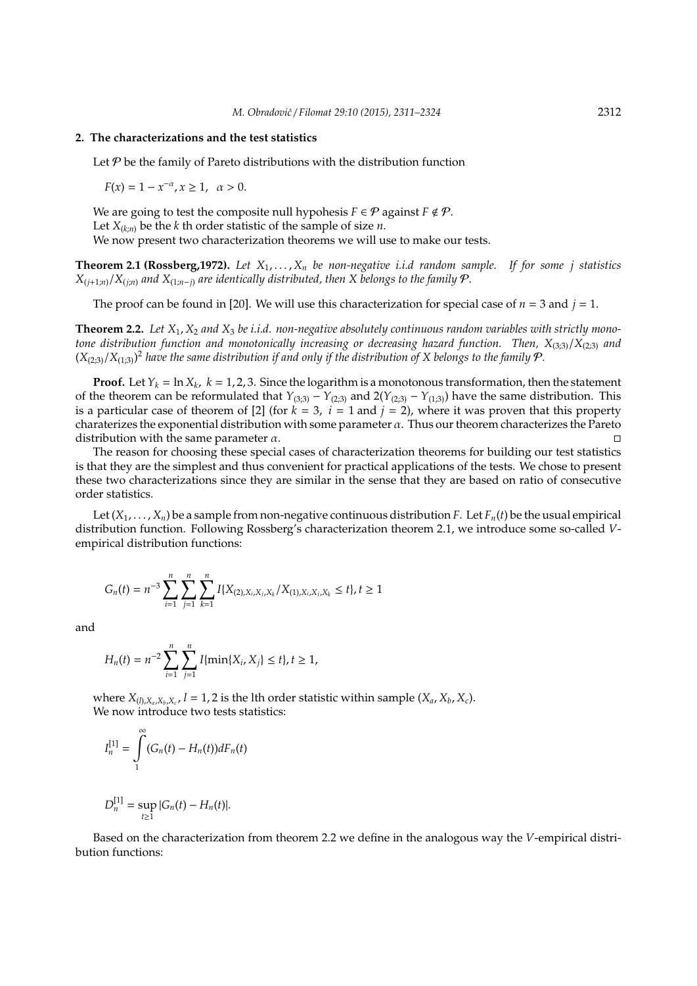### **2. The characterizations and the test statistics**

Let  $P$  be the family of Pareto distributions with the distribution function

 $F(x) = 1 - x^{-\alpha}, x \ge 1, \alpha > 0.$ 

We are going to test the composite null hypohesis  $F \in \mathcal{P}$  against  $F \notin \mathcal{P}$ . Let  $X_{(k;n)}$  be the *k* th order statistic of the sample of size *n*. We now present two characterization theorems we will use to make our tests.

**Theorem 2.1 (Rossberg,1972).** *Let X*1, . . . , *X<sup>n</sup> be non-negative i.i.d random sample. If for some j statistics*  $X_{(i+1:n)}/X_{(i:n)}$  and  $X_{(1:n-i)}$  are identically distributed, then X belongs to the family  $P$ .

The proof can be found in [20]. We will use this characterization for special case of  $n = 3$  and  $j = 1$ .

**Theorem 2.2.** *Let X*1, *X*<sup>2</sup> *and X*<sup>3</sup> *be i.i.d. non-negative absolutely continuous random variables with strictly monotone distribution function and monotonically increasing or decreasing hazard function. Then, X*(3;3)/*X*(2;3) *and*  $(X_{(2,3)}/X_{(1,3)})^2$  have the same distribution if and only if the distribution of X belongs to the family  $P$ .

**Proof.** Let  $Y_k = \ln X_k$ ,  $k = 1, 2, 3$ . Since the logarithm is a monotonous transformation, then the statement of the theorem can be reformulated that  $Y_{(3;3)} - Y_{(2;3)}$  and  $2(Y_{(2;3)} - Y_{(1;3)})$  have the same distribution. This is a particular case of theorem of [2] (for  $k = 3$ ,  $i = 1$  and  $j = 2$ ), where it was proven that this property charaterizes the exponential distribution with some parameter  $\alpha$ . Thus our theorem characterizes the Pareto distribution with the same parameter  $\alpha$ .

The reason for choosing these special cases of characterization theorems for building our test statistics is that they are the simplest and thus convenient for practical applications of the tests. We chose to present these two characterizations since they are similar in the sense that they are based on ratio of consecutive order statistics.

Let  $(X_1, \ldots, X_n)$  be a sample from non-negative continuous distribution *F*. Let  $F_n(t)$  be the usual empirical distribution function. Following Rossberg's characterization theorem 2.1, we introduce some so-called *V*empirical distribution functions:

$$
G_n(t) = n^{-3} \sum_{i=1}^n \sum_{j=1}^n \sum_{k=1}^n I\{X_{(2), X_i, X_j, X_k}/X_{(1), X_i, X_j, X_k} \le t\}, t \ge 1
$$

and

$$
H_n(t) = n^{-2} \sum_{i=1}^n \sum_{j=1}^n I\{\min\{X_i, X_j\} \le t\}, t \ge 1,
$$

where  $X_{(l),X_a,X_b,X_c}$ ,  $l = 1,2$  is the lth order statistic within sample  $(X_a, X_b, X_c)$ . We now introduce two tests statistics:

$$
I_n^{[1]} = \int\limits_1^\infty (G_n(t) - H_n(t))dF_n(t)
$$

$$
D_n^{[1]} = \sup_{t \ge 1} |G_n(t) - H_n(t)|.
$$

Based on the characterization from theorem 2.2 we define in the analogous way the *V*-empirical distribution functions: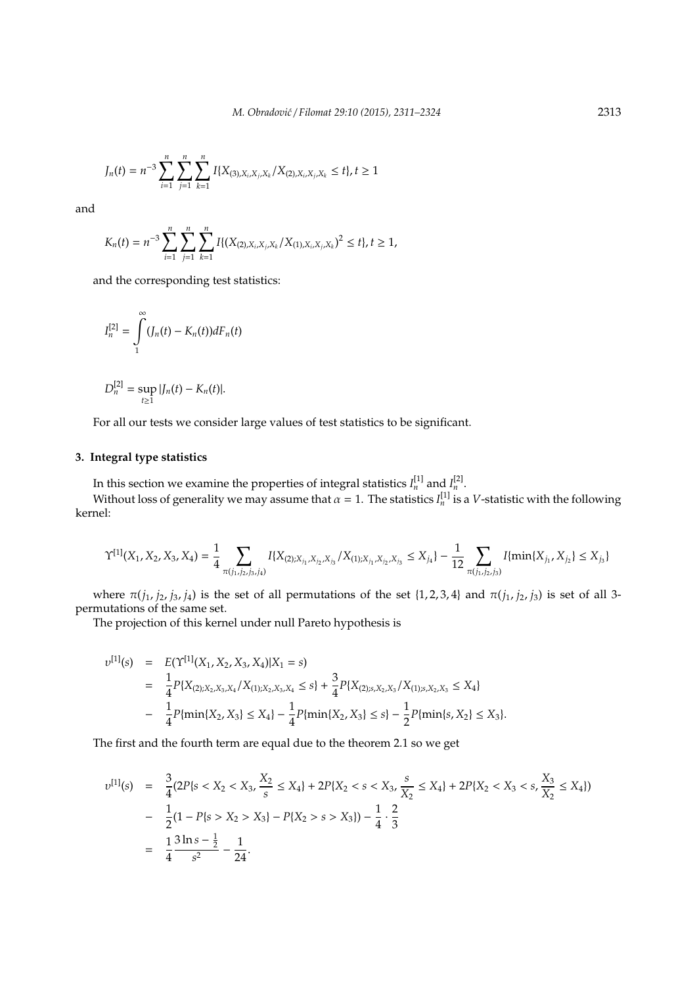$$
J_n(t) = n^{-3} \sum_{i=1}^n \sum_{j=1}^n \sum_{k=1}^n I\{X_{(3),X_i,X_j,X_k}/X_{(2),X_i,X_j,X_k} \leq t\}, t \geq 1
$$

and

$$
K_n(t) = n^{-3} \sum_{i=1}^n \sum_{j=1}^n \sum_{k=1}^n I\{(X_{(2),X_i,X_j,X_k}/X_{(1),X_i,X_j,X_k})^2 \le t\}, t \ge 1,
$$

and the corresponding test statistics:

$$
I_n^{[2]} = \int_1^{\infty} (J_n(t) - K_n(t)) dF_n(t)
$$

$$
D_n^{[2]} = \sup_{t \ge 1} |J_n(t) - K_n(t)|.
$$

For all our tests we consider large values of test statistics to be significant.

# **3. Integral type statistics**

In this section we examine the properties of integral statistics  $I_n^{[1]}$  and  $I_n^{[2]}$ .

Without loss of generality we may assume that  $\alpha = 1$ . The statistics  $I_n^{[1]}$  is a *V*-statistic with the following kernel:

$$
\Upsilon^{[1]}(X_1, X_2, X_3, X_4) = \frac{1}{4} \sum_{\pi(j_1, j_2, j_3, j_4)} I\{X_{(2); X_{j_1}, X_{j_2}, X_{j_3}} / X_{(1); X_{j_1}, X_{j_2}, X_{j_3}} \le X_{j_4}\} - \frac{1}{12} \sum_{\pi(j_1, j_2, j_3)} I\{\min\{X_{j_1}, X_{j_2}\} \le X_{j_3}\}
$$

where  $π(j_1, j_2, j_3, j_4)$  is the set of all permutations of the set {1, 2, 3, 4} and  $π(j_1, j_2, j_3)$  is set of all 3permutations of the same set.

The projection of this kernel under null Pareto hypothesis is

$$
v^{[1]}(s) = E(\Upsilon^{[1]}(X_1, X_2, X_3, X_4)|X_1 = s)
$$
  
=  $\frac{1}{4}P\{X_{(2);X_2,X_3,X_4}/X_{(1);X_2,X_3,X_4} \le s\} + \frac{3}{4}P\{X_{(2);s,X_2,X_3}/X_{(1);s,X_2,X_3} \le X_4\}$   
-  $\frac{1}{4}P\{\min\{X_2, X_3\} \le X_4\} - \frac{1}{4}P\{\min\{X_2, X_3\} \le s\} - \frac{1}{2}P\{\min\{s, X_2\} \le X_3\}.$ 

The first and the fourth term are equal due to the theorem 2.1 so we get

$$
v^{[1]}(s) = \frac{3}{4}(2P\{s < X_2 < X_3, \frac{X_2}{s} \le X_4\} + 2P\{X_2 < s < X_3, \frac{s}{X_2} \le X_4\} + 2P\{X_2 < X_3 < s, \frac{X_3}{X_2} \le X_4\})
$$
\n
$$
- \frac{1}{2}(1 - P\{s > X_2 > X_3\} - P\{X_2 > s > X_3\}) - \frac{1}{4} \cdot \frac{2}{3}
$$
\n
$$
= \frac{1}{4} \frac{3 \ln s - \frac{1}{2}}{s^2} - \frac{1}{24}.
$$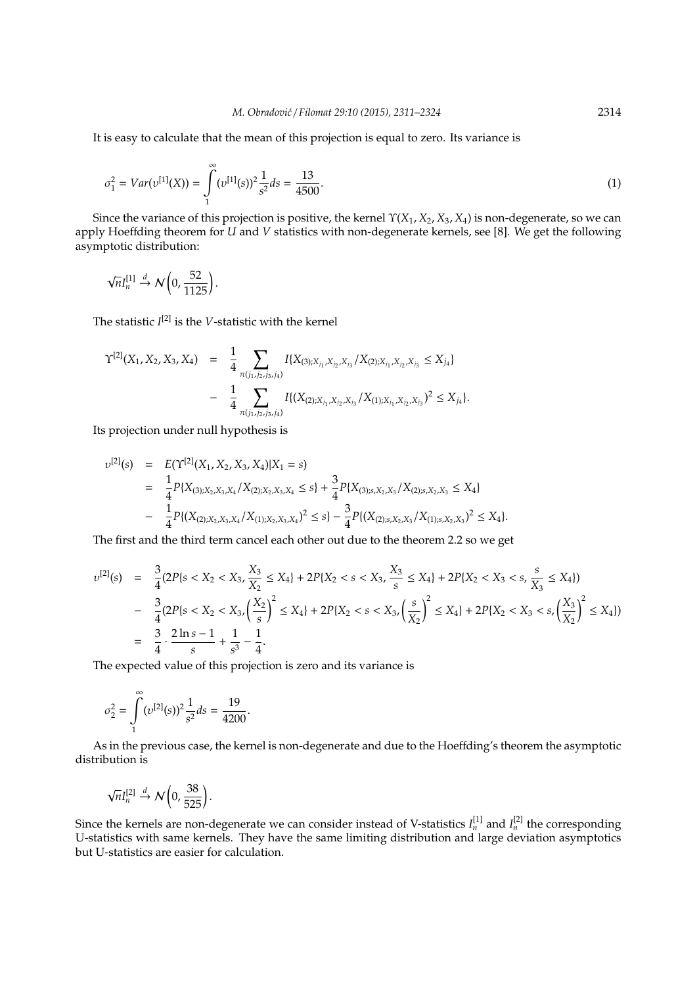It is easy to calculate that the mean of this projection is equal to zero. Its variance is

$$
\sigma_1^2 = Var(v^{[1]}(X)) = \int_{1}^{\infty} (v^{[1]}(s))^2 \frac{1}{s^2} ds = \frac{13}{4500}.
$$
\n(1)

Since the variance of this projection is positive, the kernel Υ(*X*1, *X*2, *X*3, *X*4) is non-degenerate, so we can apply Hoeffding theorem for *U* and *V* statistics with non-degenerate kernels, see [8]. We get the following asymptotic distribution:

$$
\sqrt{n}I_n^{[1]}\stackrel{d}{\rightarrow}\mathcal{N}\left(0,\frac{52}{1125}\right).
$$

The statistic *I* [2] is the *V*-statistic with the kernel

$$
\begin{split} \Upsilon^{[2]}(X_1, X_2, X_3, X_4) &= \frac{1}{4} \sum_{\pi(j_1, j_2, j_3, j_4)} I\{X_{(3); X_{j_1}, X_{j_2}, X_{j_3}} / X_{(2); X_{j_1}, X_{j_2}, X_{j_3}} \le X_{j_4}\} \\ &- \frac{1}{4} \sum_{\pi(j_1, j_2, j_3, j_4)} I\{(X_{(2); X_{j_1}, X_{j_2}, X_{j_3}} / X_{(1); X_{j_1}, X_{j_2}, X_{j_3}})^2 \le X_{j_4}\}.\end{split}
$$

Its projection under null hypothesis is

$$
v^{[2]}(s) = E(\Upsilon^{[2]}(X_1, X_2, X_3, X_4)|X_1 = s)
$$
  
=  $\frac{1}{4}P\{X_{(3);X_2,X_3,X_4}/X_{(2);X_2,X_3,X_4} \le s\} + \frac{3}{4}P\{X_{(3);s,X_2,X_3}/X_{(2);s,X_2,X_3} \le X_4\}$   
-  $\frac{1}{4}P\{(X_{(2);X_2,X_3,X_4}/X_{(1);X_2,X_3,X_4})^2 \le s\} - \frac{3}{4}P\{(X_{(2);s,X_2,X_3}/X_{(1);s,X_2,X_3})^2 \le X_4\}.$ 

The first and the third term cancel each other out due to the theorem 2.2 so we get

$$
v^{[2]}(s) = \frac{3}{4}(2P\{s < X_2 < X_3, \frac{X_3}{X_2} \le X_4\} + 2P\{X_2 < s < X_3, \frac{X_3}{s} \le X_4\} + 2P\{X_2 < X_3 < s, \frac{s}{X_3} \le X_4\})
$$
\n
$$
- \frac{3}{4}(2P\{s < X_2 < X_3, \left(\frac{X_2}{s}\right)^2 \le X_4\} + 2P\{X_2 < s < X_3, \left(\frac{s}{X_2}\right)^2 \le X_4\} + 2P\{X_2 < X_3 < s, \left(\frac{X_3}{X_2}\right)^2 \le X_4\})
$$
\n
$$
= \frac{3}{4} \cdot \frac{2\ln s - 1}{s} + \frac{1}{s^3} - \frac{1}{4}.
$$

The expected value of this projection is zero and its variance is

$$
\sigma_2^2 = \int_{1}^{\infty} (\nu^{[2]}(s))^2 \frac{1}{s^2} ds = \frac{19}{4200}.
$$

As in the previous case, the kernel is non-degenerate and due to the Hoeffding's theorem the asymptotic distribution is

$$
\sqrt{n}I_n^{[2]}\stackrel{d}{\rightarrow}\mathcal{N}\left(0,\frac{38}{525}\right).
$$

Since the kernels are non-degenerate we can consider instead of V-statistics  $I_n^{[1]}$  and  $I_n^{[2]}$  the corresponding U-statistics with same kernels. They have the same limiting distribution and large deviation asymptotics but U-statistics are easier for calculation.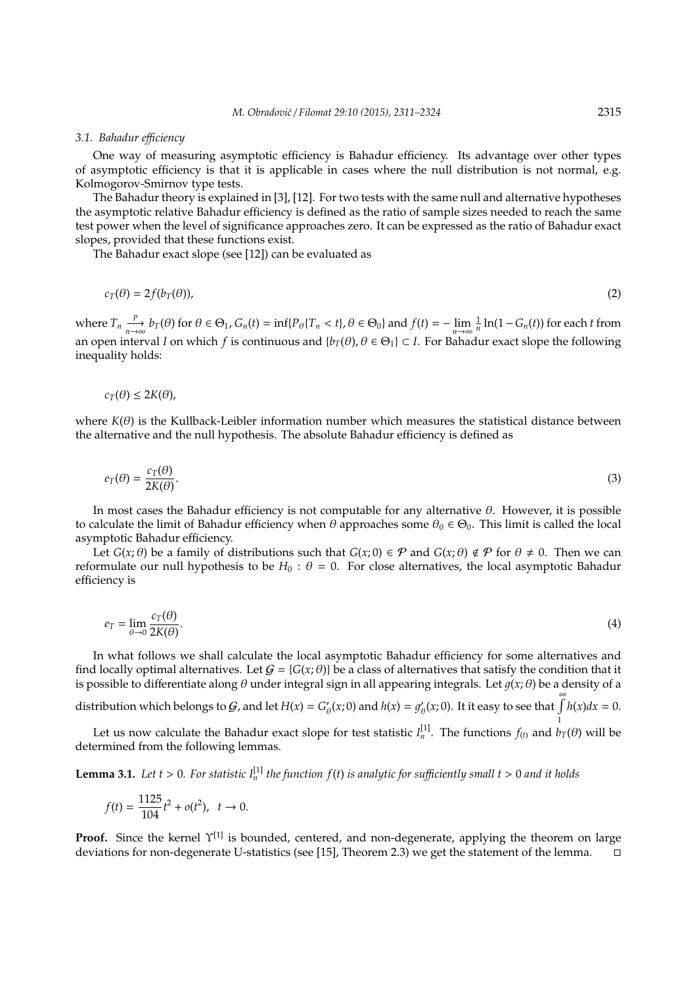#### *3.1. Bahadur e*ffi*ciency*

One way of measuring asymptotic efficiency is Bahadur efficiency. Its advantage over other types of asymptotic efficiency is that it is applicable in cases where the null distribution is not normal, e.g. Kolmogorov-Smirnov type tests.

The Bahadur theory is explained in [3], [12]. For two tests with the same null and alternative hypotheses the asymptotic relative Bahadur efficiency is defined as the ratio of sample sizes needed to reach the same test power when the level of significance approaches zero. It can be expressed as the ratio of Bahadur exact slopes, provided that these functions exist.

The Bahadur exact slope (see [12]) can be evaluated as

$$
c_T(\theta) = 2f(b_T(\theta)),\tag{2}
$$

where  $T_n \frac{p}{n \to \infty} b_T(\theta)$  for  $\theta \in \Theta_1$ ,  $G_n(t) = \inf\{P_\theta[T_n < t], \theta \in \Theta_0\}$  and  $f(t) = -\lim_{n \to \infty} \frac{1}{n} \ln(1 - G_n(t))$  for each t from an open interval *I* on which *f* is continuous and  $\{b_T(\theta), \theta \in \Theta_1\} \subset I$ . For Bahadur exact slope the following inequality holds:

$$
c_T(\theta) \leq 2K(\theta),
$$

where  $K(\theta)$  is the Kullback-Leibler information number which measures the statistical distance between the alternative and the null hypothesis. The absolute Bahadur efficiency is defined as

$$
e_T(\theta) = \frac{c_T(\theta)}{2K(\theta)}.\tag{3}
$$

In most cases the Bahadur efficiency is not computable for any alternative θ. However, it is possible to calculate the limit of Bahadur efficiency when  $\theta$  approaches some  $\theta_0 \in \Theta_0$ . This limit is called the local asymptotic Bahadur efficiency.

Let  $G(x;\theta)$  be a family of distributions such that  $G(x;\theta) \in \mathcal{P}$  and  $G(x;\theta) \notin \mathcal{P}$  for  $\theta \neq 0$ . Then we can reformulate our null hypothesis to be  $H_0$ :  $\theta = 0$ . For close alternatives, the local asymptotic Bahadur efficiency is

$$
e_T = \lim_{\theta \to 0} \frac{c_T(\theta)}{2K(\theta)}.\tag{4}
$$

In what follows we shall calculate the local asymptotic Bahadur efficiency for some alternatives and find locally optimal alternatives. Let  $G = \{G(x; \theta)\}\$ be a class of alternatives that satisfy the condition that it is possible to differentiate along  $\theta$  under integral sign in all appearing integrals. Let  $g(x; \theta)$  be a density of a

distribution which belongs to  $G$ , and let  $H(x) = G'$  $\mathcal{L}_{\theta}(x; 0)$  and  $h(x) = g'_{\theta}(x)$  $\int_{\theta}^{\infty} (x; 0)$ . It it easy to see that  $\int_{\theta}^{\infty} h(x) dx = 0$ . 1

Let us now calculate the Bahadur exact slope for test statistic  $I_n^{[1]}$ . The functions  $f_{(t)}$  and  $b_T(\theta)$  will be determined from the following lemmas.

**Lemma 3.1.** Let  $t > 0$ . For statistic  $I_n^{[1]}$  the function  $f(t)$  is analytic for sufficiently small  $t > 0$  and it holds

$$
f(t) = \frac{1125}{104}t^2 + o(t^2), \quad t \to 0.
$$

**Proof.** Since the kernel  $\Upsilon^{[1]}$  is bounded, centered, and non-degenerate, applying the theorem on large deviations for non-degenerate U-statistics (see [15], Theorem 2.3) we get the statement of the lemma.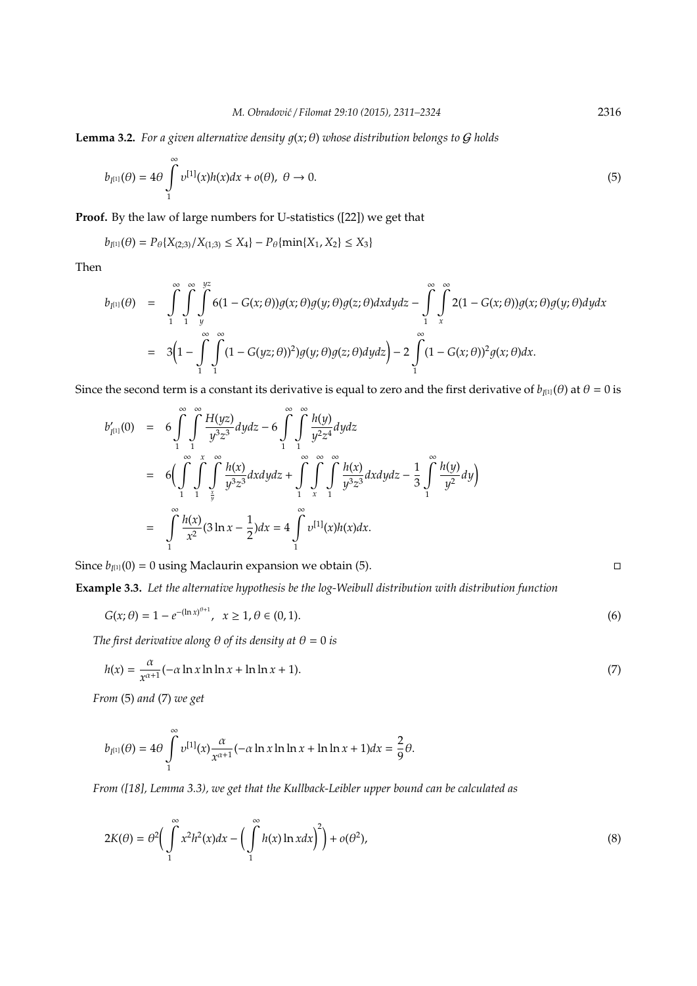**Lemma 3.2.** For a given alternative density  $q(x; \theta)$  whose distribution belongs to G holds

$$
b_{I^{[1]}}(\theta) = 4\theta \int_{1}^{\infty} v^{[1]}(x)h(x)dx + o(\theta), \ \theta \to 0.
$$
 (5)

**Proof.** By the law of large numbers for U-statistics ([22]) we get that

$$
b_{I^{[1]}}(\theta) = P_{\theta}\{X_{(2,3)}/X_{(1,3)} \leq X_4\} - P_{\theta}\{\min\{X_1,X_2\} \leq X_3\}
$$

Then

$$
b_{I^{[1]}}(\theta) = \int_{1}^{\infty} \int_{1}^{\infty} \int_{y}^{yz} 6(1 - G(x; \theta))g(x; \theta)g(y; \theta)g(z; \theta)dxdydz - \int_{1}^{\infty} \int_{x}^{\infty} 2(1 - G(x; \theta))g(x; \theta)g(y; \theta)dxdydz
$$
  

$$
= 3\Big(1 - \int_{1}^{\infty} \int_{1}^{\infty} (1 - G(yz; \theta))^{2})g(y; \theta)g(z; \theta)dxdydz - 2\int_{1}^{\infty} (1 - G(x; \theta))^{2}g(x; \theta)dx.
$$

Since the second term is a constant its derivative is equal to zero and the first derivative of  $b_{I^{[1]}}(\theta)$  at  $\theta=0$  is

$$
b'_{I^{[1]}}(0) = 6 \int_{1}^{\infty} \int_{1}^{\infty} \frac{H(yz)}{y^3 z^3} dydz - 6 \int_{1}^{\infty} \int_{1}^{\infty} \frac{h(y)}{y^2 z^4} dydz
$$
  
\n
$$
= 6 \Big( \int_{1}^{\infty} \int_{1}^{x} \int_{\frac{x}{y}}^{\infty} \frac{h(x)}{y^3 z^3} dxdydz + \int_{1}^{\infty} \int_{x}^{\infty} \int_{1}^{\infty} \frac{h(x)}{y^3 z^3} dxdydz - \frac{1}{3} \int_{1}^{\infty} \frac{h(y)}{y^2} dy \Big)
$$
  
\n
$$
= \int_{1}^{\infty} \frac{h(x)}{x^2} (3 \ln x - \frac{1}{2}) dx = 4 \int_{1}^{\infty} v^{[1]}(x)h(x) dx.
$$

Since  $b_{I^{[1]}}(0) = 0$  using Maclaurin expansion we obtain (5).

**Example 3.3.** *Let the alternative hypothesis be the log-Weibull distribution with distribution function*

$$
G(x; \theta) = 1 - e^{-(\ln x)^{\theta + 1}}, \quad x \ge 1, \theta \in (0, 1).
$$
 (6)

*The first derivative along*  $\theta$  *of its density at*  $\theta = 0$  *is* 

$$
h(x) = \frac{\alpha}{x^{\alpha+1}}(-\alpha \ln x \ln \ln x + \ln \ln x + 1). \tag{7}
$$

*From* (5) *and* (7) *we get*

$$
b_{I^{[1]}}(\theta) = 4\theta \int_{1}^{\infty} v^{[1]}(x) \frac{\alpha}{x^{\alpha+1}} (-\alpha \ln x \ln \ln x + \ln \ln x + 1) dx = \frac{2}{9} \theta.
$$

*From ([18], Lemma 3.3), we get that the Kullback-Leibler upper bound can be calculated as*

$$
2K(\theta) = \theta^2 \bigg( \int_{1}^{\infty} x^2 h^2(x) dx - \bigg( \int_{1}^{\infty} h(x) \ln x dx \bigg)^2 \bigg) + o(\theta^2), \tag{8}
$$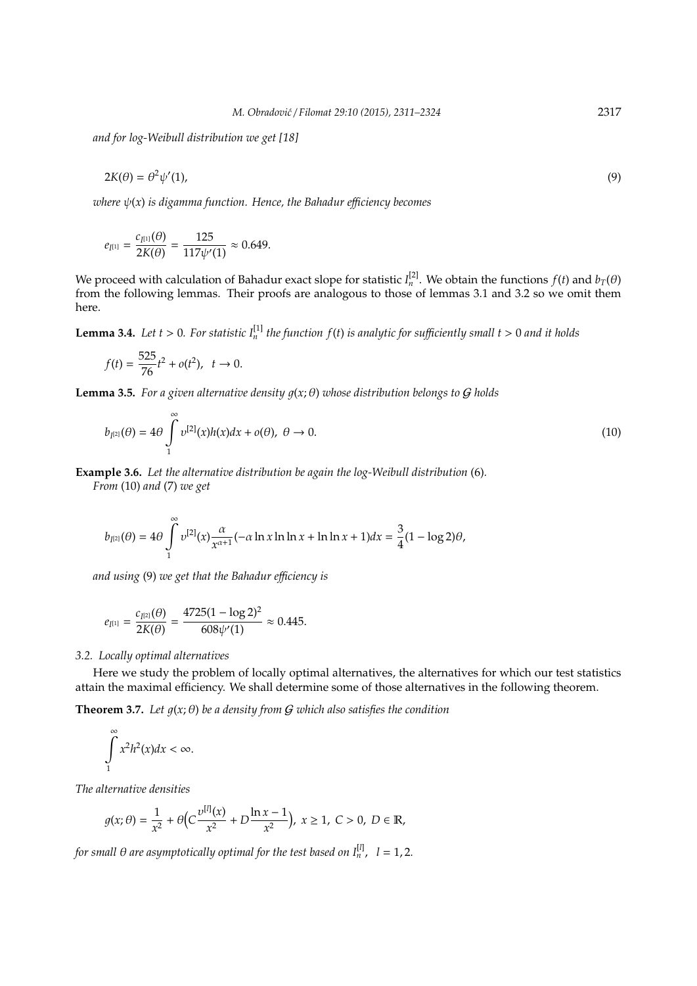*and for log-Weibull distribution we get [18]*

$$
2K(\theta) = \theta^2 \psi'(1),\tag{9}
$$

*where* ψ(*x*) *is digamma function. Hence, the Bahadur e*ffi*ciency becomes*

$$
e_{I^{[1]}} = \frac{c_{I^{[1]}}(\theta)}{2K(\theta)} = \frac{125}{117\psi'(1)} \approx 0.649.
$$

We proceed with calculation of Bahadur exact slope for statistic  $I_n^{[2]}$ . We obtain the functions  $f(t)$  and  $b_T(\theta)$ from the following lemmas. Their proofs are analogous to those of lemmas 3.1 and 3.2 so we omit them here.

**Lemma 3.4.** Let  $t > 0$ . For statistic  $I_n^{[1]}$  the function  $f(t)$  is analytic for sufficiently small  $t > 0$  and it holds

$$
f(t) = \frac{525}{76}t^2 + o(t^2), \quad t \to 0.
$$

**Lemma 3.5.** For a given alternative density  $q(x; \theta)$  whose distribution belongs to G holds

$$
b_{I^{[2]}}(\theta) = 4\theta \int_{1}^{\infty} v^{[2]}(x)h(x)dx + o(\theta), \ \theta \to 0.
$$
\n(10)

**Example 3.6.** *Let the alternative distribution be again the log-Weibull distribution* (6)*.*

*From* (10) *and* (7) *we get*

$$
b_{I^{[2]}}(\theta) = 4\theta \int_{1}^{\infty} v^{[2]}(x) \frac{\alpha}{x^{\alpha+1}} (-\alpha \ln x \ln \ln x + \ln \ln x + 1) dx = \frac{3}{4} (1 - \log 2)\theta,
$$

*and using* (9) *we get that the Bahadur e*ffi*ciency is*

$$
e_{I^{[1]}} = \frac{c_{I^{[2]}}(\theta)}{2K(\theta)} = \frac{4725(1 - \log 2)^2}{608\psi'(1)} \approx 0.445.
$$

#### *3.2. Locally optimal alternatives*

Here we study the problem of locally optimal alternatives, the alternatives for which our test statistics attain the maximal efficiency. We shall determine some of those alternatives in the following theorem.

**Theorem 3.7.** Let  $g(x; \theta)$  be a density from  $G$  which also satisfies the condition

$$
\int\limits_{1}^{\infty} x^2 h^2(x) dx < \infty.
$$

*The alternative densities*

$$
g(x; \theta) = \frac{1}{x^2} + \theta \Big( C \frac{\nu^{[l]}(x)}{x^2} + D \frac{\ln x - 1}{x^2} \Big), \ x \ge 1, \ C > 0, \ D \in \mathbb{R},
$$

*for small* θ *are asymptotically optimal for the test based on I*[*l*] *n* , *l* = 1, 2*.*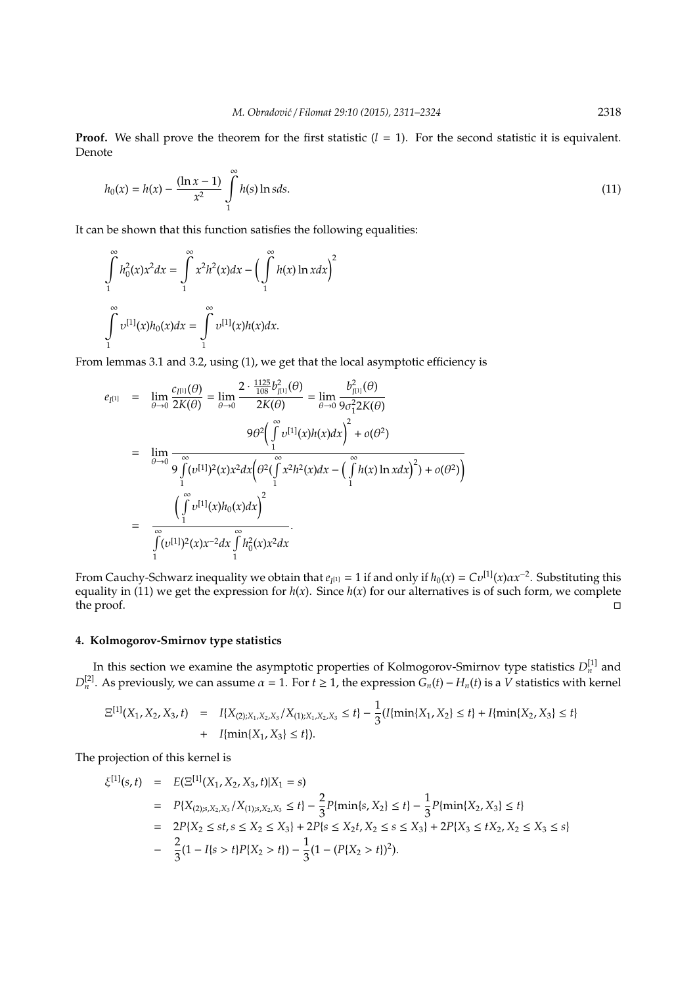**Proof.** We shall prove the theorem for the first statistic  $(l = 1)$ . For the second statistic it is equivalent. Denote

$$
h_0(x) = h(x) - \frac{(\ln x - 1)}{x^2} \int_{1}^{\infty} h(s) \ln s ds.
$$
 (11)

It can be shown that this function satisfies the following equalities:

$$
\int_{1}^{\infty} h_0^2(x)x^2 dx = \int_{1}^{\infty} x^2 h^2(x) dx - \left(\int_{1}^{\infty} h(x) \ln x dx\right)^2
$$

$$
\int_{1}^{\infty} v^{[1]}(x)h_0(x) dx = \int_{1}^{\infty} v^{[1]}(x)h(x) dx.
$$

From lemmas 3.1 and 3.2, using (1), we get that the local asymptotic efficiency is

$$
e_{I^{[1]}} = \lim_{\theta \to 0} \frac{c_{I^{[1]}}(\theta)}{2K(\theta)} = \lim_{\theta \to 0} \frac{2 \cdot \frac{1125}{108} b_{I^{[1]}}^2(\theta)}{2K(\theta)} = \lim_{\theta \to 0} \frac{b_{I^{[1]}}^2(\theta)}{9 \sigma_1^2 2K(\theta)}
$$
  
\n
$$
= \lim_{\theta \to 0} \frac{9 \theta^2 \left(\int_1^{\infty} v^{[1]}(x) h(x) dx\right)^2 + o(\theta^2)}{9 \int_1^{\infty} (v^{[1]})^2 (x) x^2 dx \left(\theta^2 (\int_1^{\infty} x^2 h^2(x) dx - \left(\int_1^{\infty} h(x) \ln x dx\right)^2) + o(\theta^2)\right)}
$$
  
\n
$$
= \frac{\left(\int_1^{\infty} v^{[1]}(x) h_0(x) dx\right)^2}{\int_1^{\infty} (v^{[1]})^2 (x) x^{-2} dx \int_1^{\infty} h_0^2(x) x^2 dx}.
$$

From Cauchy-Schwarz inequality we obtain that  $e_{I^{[1]}} = 1$  if and only if  $h_0(x) = Cv^{[1]}(x) \alpha x^{-2}$ . Substituting this equality in (11) we get the expression for  $h(x)$ . Since  $h(x)$  for our alternatives is of such form, we complete the proof.

# **4. Kolmogorov-Smirnov type statistics**

In this section we examine the asymptotic properties of Kolmogorov-Smirnov type statistics  $D_n^{[1]}$  and  $D_n^{[2]}$ . As previously, we can assume  $\alpha = 1$ . For  $t \ge 1$ , the expression  $G_n(t) - H_n(t)$  is a *V* statistics with kernel

$$
\begin{aligned} \Xi^{[1]}(X_1, X_2, X_3, t) &= I\{X_{(2);X_1, X_2, X_3} / X_{(1);X_1, X_2, X_3} \le t\} - \frac{1}{3} (I\{\min\{X_1, X_2\} \le t\} + I\{\min\{X_2, X_3\} \le t\}) \\ &+ I\{\min\{X_1, X_3\} \le t\}). \end{aligned}
$$

The projection of this kernel is

$$
\xi^{[1]}(s,t) = E(\Xi^{[1]}(X_1, X_2, X_3, t)|X_1 = s)
$$
  
=  $P\{X_{(2)s, X_2, X_3}/X_{(1)s, X_2, X_3} \le t\} - \frac{2}{3}P\{\min\{s, X_2\} \le t\} - \frac{1}{3}P\{\min\{X_2, X_3\} \le t\}$   
=  $2P\{X_2 \le st, s \le X_2 \le X_3\} + 2P\{s \le X_2t, X_2 \le s \le X_3\} + 2P\{X_3 \le tX_2, X_2 \le X_3 \le s\}$   
-  $\frac{2}{3}(1 - I\{s > t\}P\{X_2 > t\}) - \frac{1}{3}(1 - (P\{X_2 > t\})^2).$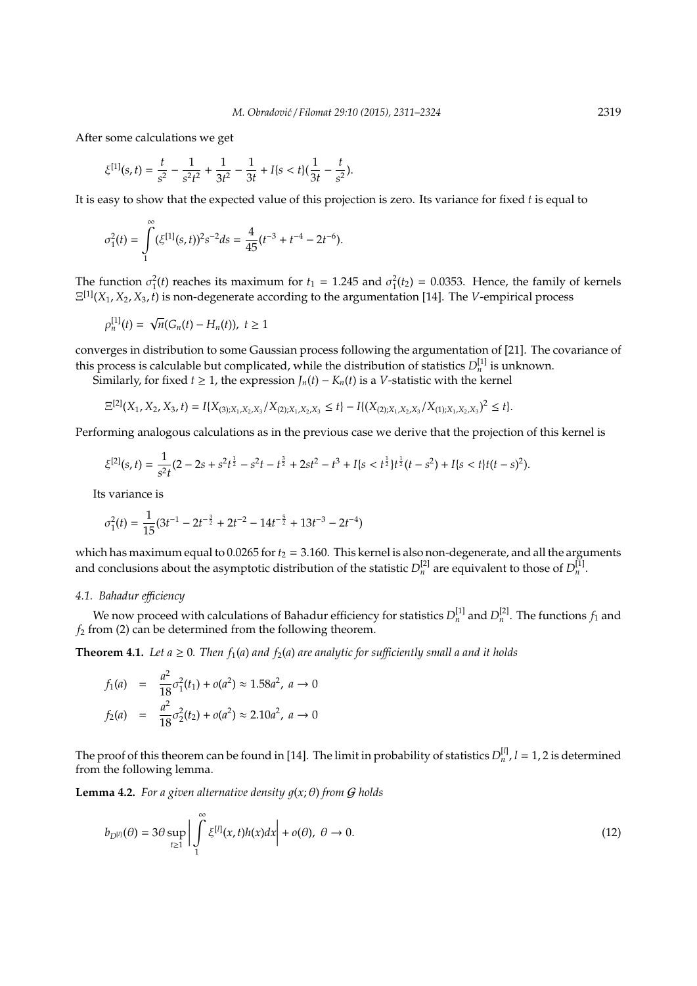After some calculations we get

$$
\xi^{[1]}(s,t)=\frac{t}{s^2}-\frac{1}{s^2t^2}+\frac{1}{3t^2}-\frac{1}{3t}+I\{s
$$

It is easy to show that the expected value of this projection is zero. Its variance for fixed *t* is equal to

$$
\sigma_1^2(t) = \int\limits_1^{\infty} (\xi^{[1]}(s,t))^2 s^{-2} ds = \frac{4}{45} (t^{-3} + t^{-4} - 2t^{-6}).
$$

The function  $\sigma_1^2(t)$  reaches its maximum for  $t_1 = 1.245$  and  $\sigma_1^2(t_2) = 0.0353$ . Hence, the family of kernels Ξ [1](*X*1, *X*2, *X*3, *t*) is non-degenerate according to the argumentation [14]. The *V*-empirical process

$$
\rho_n^{[1]}(t) = \sqrt{n}(G_n(t) - H_n(t)), \ t \ge 1
$$

converges in distribution to some Gaussian process following the argumentation of [21]. The covariance of this process is calculable but complicated, while the distribution of statistics  $D_n^{[1]}$  is unknown.

Similarly, for fixed *t* ≥ 1, the expression  $J_n(t) - K_n(t)$  is a *V*-statistic with the kernel

$$
\Xi^{[2]}(X_1, X_2, X_3, t) = I\{X_{(3);X_1, X_2, X_3}/X_{(2);X_1, X_2, X_3} \le t\} - I\{(X_{(2);X_1, X_2, X_3}/X_{(1);X_1, X_2, X_3})^2 \le t\}.
$$

Performing analogous calculations as in the previous case we derive that the projection of this kernel is

$$
\xi^{[2]}(s,t)=\frac{1}{s^2t}(2-2s+s^2t^{\frac{1}{2}}-s^2t-t^{\frac{3}{2}}+2st^2-t^3+I\{s
$$

Its variance is

$$
\sigma_1^2(t) = \frac{1}{15}(3t^{-1} - 2t^{-\frac{3}{2}} + 2t^{-2} - 14t^{-\frac{5}{2}} + 13t^{-3} - 2t^{-4})
$$

which has maximum equal to  $0.0265$  for  $t_2 = 3.160$ . This kernel is also non-degenerate, and all the arguments and conclusions about the asymptotic distribution of the statistic  $D_n^{[2]}$  are equivalent to those of  $D_n^{[1]}$ .

# *4.1. Bahadur e*ffi*ciency*

We now proceed with calculations of Bahadur efficiency for statistics  $D_n^{[1]}$  and  $D_n^{[2]}$ . The functions  $f_1$  and *f*<sup>2</sup> from (2) can be determined from the following theorem.

**Theorem 4.1.** *Let a*  $\geq$  0*. Then*  $f_1(a)$  *and*  $f_2(a)$  *are analytic for sufficiently small a and it holds* 

$$
f_1(a) = \frac{a^2}{18}\sigma_1^2(t_1) + o(a^2) \approx 1.58a^2, \ a \to 0
$$
  

$$
f_2(a) = \frac{a^2}{18}\sigma_2^2(t_2) + o(a^2) \approx 2.10a^2, \ a \to 0
$$

The proof of this theorem can be found in [14]. The limit in probability of statistics  $D_n^{[l]}$ ,  $l = 1, 2$  is determined from the following lemma.

**Lemma 4.2.** *For a given alternative density*  $q(x; \theta)$  *from G holds* 

$$
b_{D^{[l]}}(\theta) = 3\theta \sup_{t \ge 1} \left| \int_{1}^{\infty} \xi^{[l]}(x, t) h(x) dx \right| + o(\theta), \ \theta \to 0. \tag{12}
$$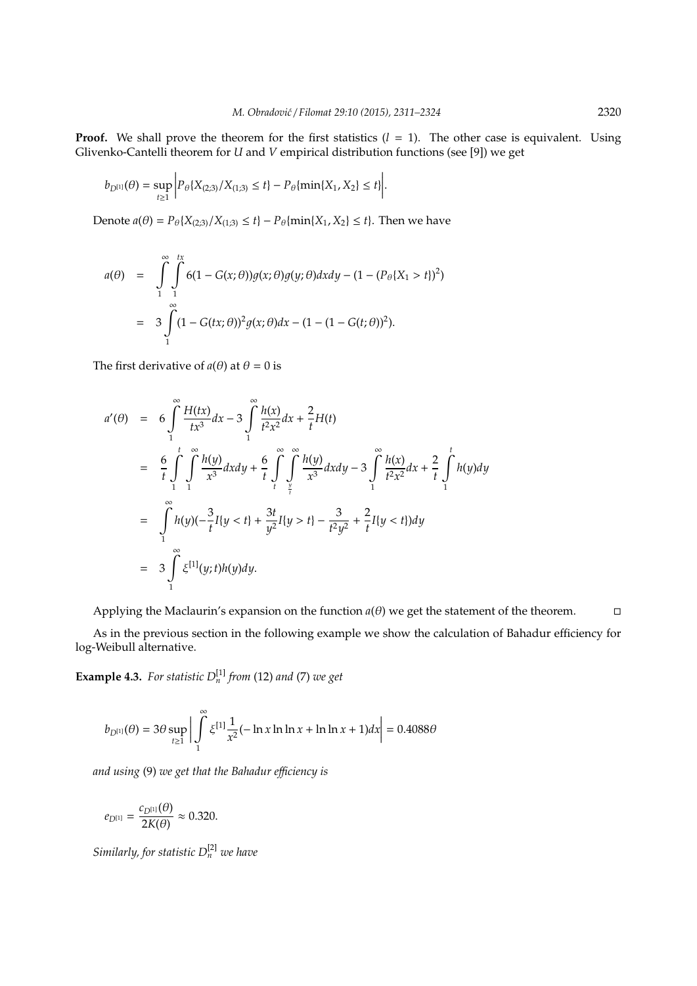**Proof.** We shall prove the theorem for the first statistics  $(l = 1)$ . The other case is equivalent. Using Glivenko-Cantelli theorem for *U* and *V* empirical distribution functions (see [9]) we get

$$
b_{D^{[1]}}(\theta) = \sup_{t \ge 1} \left| P_{\theta} \{ X_{(2,3)}/X_{(1,3)} \le t \} - P_{\theta} \{\min\{ X_1, X_2 \} \le t \} \right|.
$$

Denote *a*( $θ$ ) =  $P_{θ}$ {*X*<sub>(2;3)</sub>/*X*<sub>(1;3)</sub> ≤ *t*} −  $P_{θ}$ {min{*X*<sub>1</sub>, *X*<sub>2</sub>} ≤ *t*}. Then we have

$$
a(\theta) = \int_{1}^{\infty} \int_{1}^{tx} 6(1 - G(x; \theta))g(x; \theta)g(y; \theta) dxdy - (1 - (P_{\theta} \{X_1 > t\})^2)
$$
  
= 
$$
3 \int_{1}^{\infty} (1 - G(tx; \theta))^2 g(x; \theta) dx - (1 - (1 - G(t; \theta))^2).
$$

The first derivative of  $a(\theta)$  at  $\theta = 0$  is

$$
a'(\theta) = 6 \int_{1}^{\infty} \frac{H(tx)}{tx^3} dx - 3 \int_{1}^{\infty} \frac{h(x)}{t^2 x^2} dx + \frac{2}{t} H(t)
$$
  
\n
$$
= \frac{6}{t} \int_{1}^{t} \int_{1}^{\infty} \frac{h(y)}{x^3} dx dy + \frac{6}{t} \int_{\frac{t}{t}}^{\infty} \int_{\frac{t}{t}}^{\infty} \frac{h(y)}{x^3} dx dy - 3 \int_{1}^{\infty} \frac{h(x)}{t^2 x^2} dx + \frac{2}{t} \int_{1}^{t} h(y) dy
$$
  
\n
$$
= \int_{1}^{\infty} h(y)(-\frac{3}{t}I\{y < t\} + \frac{3t}{y^2}I\{y > t\} - \frac{3}{t^2 y^2} + \frac{2}{t}I\{y < t\}) dy
$$
  
\n
$$
= 3 \int_{1}^{\infty} \xi^{[1]}(y; t)h(y) dy.
$$

Applying the Maclaurin's expansion on the function  $a(\theta)$  we get the statement of the theorem.

As in the previous section in the following example we show the calculation of Bahadur efficiency for log-Weibull alternative.

**Example 4.3.** For statistic  $D_n^{[1]}$  from (12) and (7) we get

$$
b_{D^{[1]}}(\theta) = 3\theta \sup_{t \ge 1} \left| \int_{1}^{\infty} \xi^{[1]} \frac{1}{x^2} (-\ln x \ln \ln x + \ln \ln x + 1) dx \right| = 0.4088\theta
$$

*and using* (9) *we get that the Bahadur e*ffi*ciency is*

$$
e_{D^{[1]}} = \frac{c_{D^{[1]}}(\theta)}{2K(\theta)} \approx 0.320.
$$

*Similarly, for statistic D*[2] *<sup>n</sup> we have*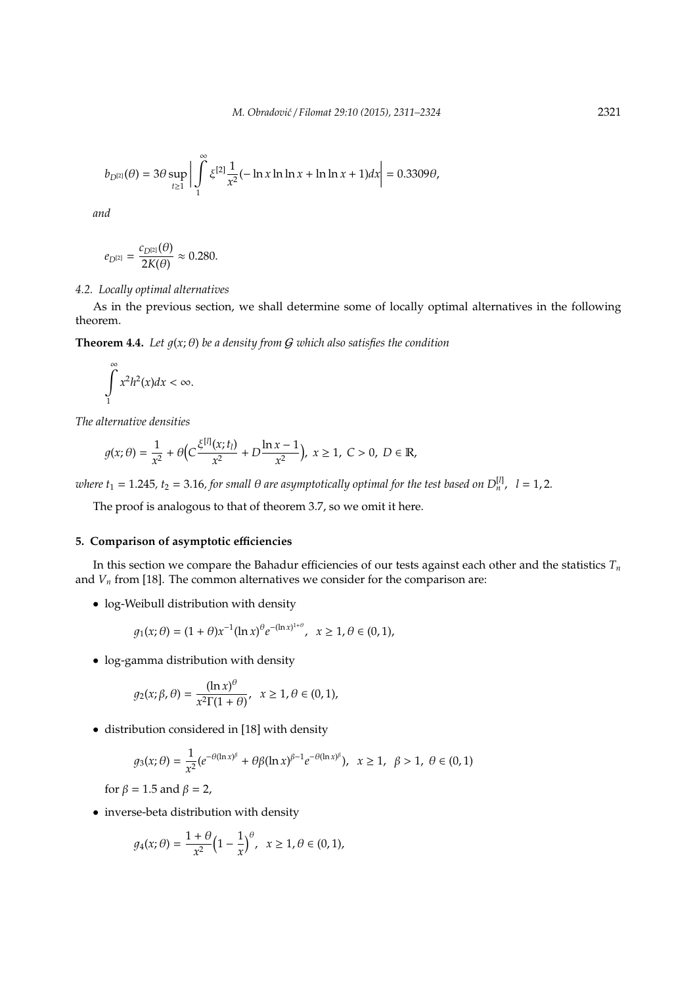$$
b_{D^{[2]}}(\theta) = 3\theta \sup_{t \ge 1} \left| \int_{1}^{\infty} \xi^{[2]} \frac{1}{x^2} (-\ln x \ln \ln x + \ln \ln x + 1) dx \right| = 0.3309\theta,
$$

*and*

$$
e_{D^{[2]}} = \frac{c_{D^{[2]}}(\theta)}{2K(\theta)} \approx 0.280.
$$

## *4.2. Locally optimal alternatives*

As in the previous section, we shall determine some of locally optimal alternatives in the following theorem.

**Theorem 4.4.** *Let*  $q(x; \theta)$  *be a density from G which also satisfies the condition* 

$$
\int_{1}^{\infty} x^2 h^2(x) dx < \infty.
$$

*The alternative densities*

$$
g(x; \theta) = \frac{1}{x^2} + \theta \Big( C \frac{\xi^{[l]}(x; t_l)}{x^2} + D \frac{\ln x - 1}{x^2} \Big), \ x \ge 1, \ C > 0, \ D \in \mathbb{R},
$$

*where t*<sub>1</sub> = 1.245, *t*<sub>2</sub> = 3.16, for small  $\theta$  are asymptotically optimal for the test based on  $D_n^{[l]}$ ,  $l = 1, 2$ .

The proof is analogous to that of theorem 3.7, so we omit it here.

# **5. Comparison of asymptotic e**ffi**ciencies**

In this section we compare the Bahadur efficiencies of our tests against each other and the statistics *T<sup>n</sup>* and  $V<sub>n</sub>$  from [18]. The common alternatives we consider for the comparison are:

• log-Weibull distribution with density

$$
g_1(x; \theta) = (1 + \theta)x^{-1}(\ln x)^{\theta} e^{-(\ln x)^{1+\theta}}, \quad x \ge 1, \theta \in (0, 1),
$$

• log-gamma distribution with density

$$
g_2(x; \beta, \theta) = \frac{(\ln x)^{\theta}}{x^2 \Gamma(1 + \theta)}, \quad x \ge 1, \theta \in (0, 1),
$$

• distribution considered in [18] with density

$$
g_3(x; \theta) = \frac{1}{x^2} (e^{-\theta(\ln x)^{\beta}} + \theta \beta(\ln x)^{\beta - 1} e^{-\theta(\ln x)^{\beta}}), \ \ x \ge 1, \ \ \beta > 1, \ \theta \in (0, 1)
$$

for  $\beta = 1.5$  and  $\beta = 2$ ,

• inverse-beta distribution with density

$$
g_4(x; \theta) = \frac{1+\theta}{x^2} \Big(1 - \frac{1}{x}\Big)^{\theta}, \ \ x \ge 1, \theta \in (0,1),
$$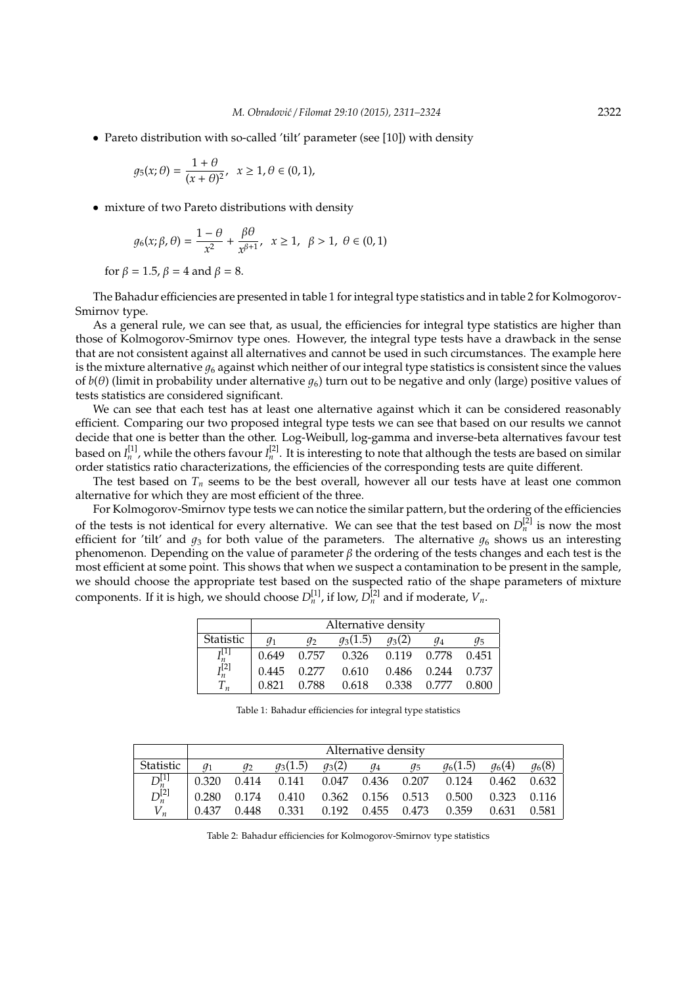• Pareto distribution with so-called 'tilt' parameter (see [10]) with density

$$
g_5(x; \theta) = \frac{1+\theta}{(x+\theta)^2}, \ \ x \ge 1, \theta \in (0,1),
$$

• mixture of two Pareto distributions with density

$$
g_6(x;\beta,\theta) = \frac{1-\theta}{x^2} + \frac{\beta\theta}{x^{\beta+1}}, \quad x \ge 1, \quad \beta > 1, \quad \theta \in (0,1)
$$

for  $\beta = 1.5$ ,  $\beta = 4$  and  $\beta = 8$ .

The Bahadur efficiencies are presented in table 1 for integral type statistics and in table 2 for Kolmogorov-Smirnov type.

As a general rule, we can see that, as usual, the efficiencies for integral type statistics are higher than those of Kolmogorov-Smirnov type ones. However, the integral type tests have a drawback in the sense that are not consistent against all alternatives and cannot be used in such circumstances. The example here is the mixture alternative  $q_6$  against which neither of our integral type statistics is consistent since the values of  $b(\theta)$  (limit in probability under alternative  $q_6$ ) turn out to be negative and only (large) positive values of tests statistics are considered significant.

We can see that each test has at least one alternative against which it can be considered reasonably efficient. Comparing our two proposed integral type tests we can see that based on our results we cannot decide that one is better than the other. Log-Weibull, log-gamma and inverse-beta alternatives favour test based on  $I_n^{[1]}$ , while the others favour  $I_n^{[2]}$ . It is interesting to note that although the tests are based on similar order statistics ratio characterizations, the efficiencies of the corresponding tests are quite different.

The test based on  $T<sub>n</sub>$  seems to be the best overall, however all our tests have at least one common alternative for which they are most efficient of the three.

For Kolmogorov-Smirnov type tests we can notice the similar pattern, but the ordering of the efficiencies of the tests is not identical for every alternative. We can see that the test based on  $D_n^{[2]}$  is now the most efficient for 'tilt' and  $g_3$  for both value of the parameters. The alternative  $g_6$  shows us an interesting phenomenon. Depending on the value of parameter  $β$  the ordering of the tests changes and each test is the most efficient at some point. This shows that when we suspect a contamination to be present in the sample, we should choose the appropriate test based on the suspected ratio of the shape parameters of mixture components. If it is high, we should choose  $D_n^{[1]}$ , if low,  $D_n^{[2]}$  and if moderate,  $V_n$ .

|                  | Alternative density |       |            |             |       |       |  |  |
|------------------|---------------------|-------|------------|-------------|-------|-------|--|--|
| <b>Statistic</b> | $q_1$               | $q_2$ | $q_3(1.5)$ | $g_3(2)$    | $q_4$ | q5    |  |  |
| $I_n^{[1]}$      | 0.649               | 0.757 | 0.326      | 0.119 0.778 |       | 0.451 |  |  |
| $I_n^{[2]}$      | 0.445               | 0.277 | 0.610      | 0.486       | 0.244 | 0.737 |  |  |
| $T_n$            | 0.821               | 0.788 | 0.618      | 0.338       | 0.777 | 0.800 |  |  |

Table 1: Bahadur efficiencies for integral type statistics

|             | Alternative density |       |                                           |          |       |       |            |                 |             |
|-------------|---------------------|-------|-------------------------------------------|----------|-------|-------|------------|-----------------|-------------|
| Statistic   |                     | $q_2$ | $q_3(1.5)$                                | $q_3(2)$ | $q_4$ | $g_5$ | $q_6(1.5)$ | $q_6(4)$        | $g_6(8)$    |
| $D^{[1]}_n$ | 0.320               |       | 0.414  0.141  0.047  0.436  0.207  0.124  |          |       |       |            | 0.462 0.632     |             |
| $D^{[2]}_n$ |                     |       | 0.280 0.174 0.410 0.362 0.156 0.513 0.500 |          |       |       |            | $0.323$ $0.116$ |             |
| $V_n$       | 0.437               | 0.448 | 0.331 0.192 0.455 0.473 0.359             |          |       |       |            |                 | 0.631 0.581 |

Table 2: Bahadur efficiencies for Kolmogorov-Smirnov type statistics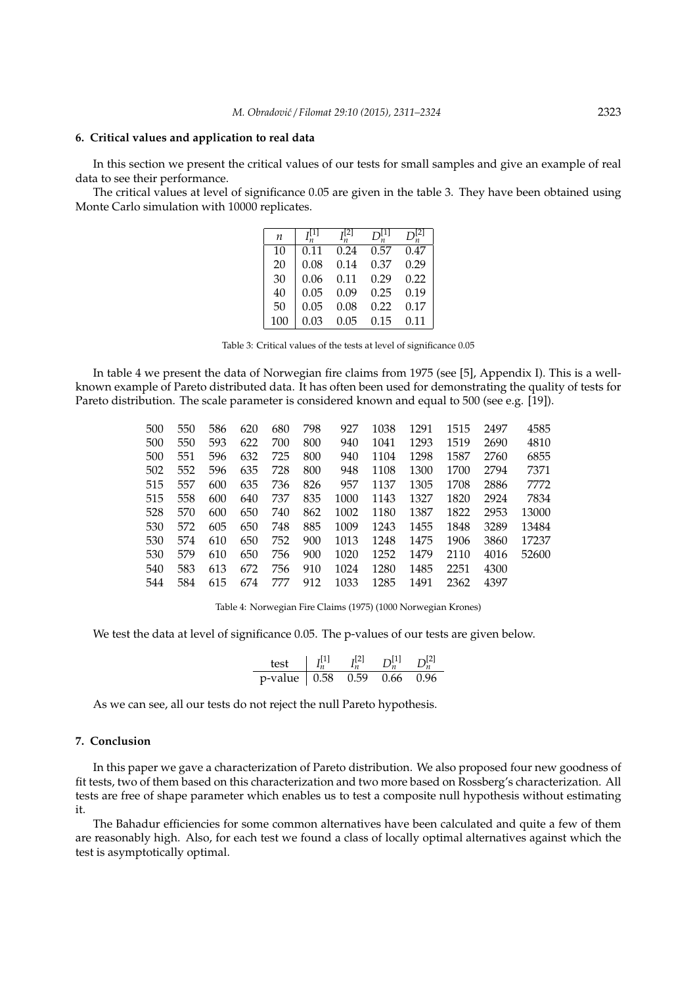### **6. Critical values and application to real data**

In this section we present the critical values of our tests for small samples and give an example of real data to see their performance.

The critical values at level of significance 0.05 are given in the table 3. They have been obtained using Monte Carlo simulation with 10000 replicates.

| n   |      |      |      |      |
|-----|------|------|------|------|
| 10  | 0.11 | 0.24 | 0.57 | 0.47 |
| 20  | 0.08 | 0.14 | 0.37 | 0.29 |
| 30  | 0.06 | 0.11 | 0.29 | 0.22 |
| 40  | 0.05 | 0.09 | 0.25 | 0.19 |
| 50  | 0.05 | 0.08 | 0.22 | 0.17 |
| 100 | 0.03 | 0.05 | 0.15 | 0.11 |

Table 3: Critical values of the tests at level of significance 0.05

In table 4 we present the data of Norwegian fire claims from 1975 (see [5], Appendix I). This is a wellknown example of Pareto distributed data. It has often been used for demonstrating the quality of tests for Pareto distribution. The scale parameter is considered known and equal to 500 (see e.g. [19]).

| 500 | 550 | 586 | 620 | 680 | 798 | 927  | 1038 | 1291 | 1515 | 2497 | 4585  |
|-----|-----|-----|-----|-----|-----|------|------|------|------|------|-------|
| 500 | 550 | 593 | 622 | 700 | 800 | 940  | 1041 | 1293 | 1519 | 2690 | 4810  |
| 500 | 551 | 596 | 632 | 725 | 800 | 940  | 1104 | 1298 | 1587 | 2760 | 6855  |
| 502 | 552 | 596 | 635 | 728 | 800 | 948  | 1108 | 1300 | 1700 | 2794 | 7371  |
| 515 | 557 | 600 | 635 | 736 | 826 | 957  | 1137 | 1305 | 1708 | 2886 | 7772  |
| 515 | 558 | 600 | 640 | 737 | 835 | 1000 | 1143 | 1327 | 1820 | 2924 | 7834  |
| 528 | 570 | 600 | 650 | 740 | 862 | 1002 | 1180 | 1387 | 1822 | 2953 | 13000 |
| 530 | 572 | 605 | 650 | 748 | 885 | 1009 | 1243 | 1455 | 1848 | 3289 | 13484 |
| 530 | 574 | 610 | 650 | 752 | 900 | 1013 | 1248 | 1475 | 1906 | 3860 | 17237 |
| 530 | 579 | 610 | 650 | 756 | 900 | 1020 | 1252 | 1479 | 2110 | 4016 | 52600 |
| 540 | 583 | 613 | 672 | 756 | 910 | 1024 | 1280 | 1485 | 2251 | 4300 |       |
| 544 | 584 | 615 | 674 | 777 | 912 | 1033 | 1285 | 1491 | 2362 | 4397 |       |
|     |     |     |     |     |     |      |      |      |      |      |       |

Table 4: Norwegian Fire Claims (1975) (1000 Norwegian Krones)

We test the data at level of significance 0.05. The p-values of our tests are given below.

| test                  |      | $\nabla^{[1]}$ |      |
|-----------------------|------|----------------|------|
| $p$ -value $\pm 0.58$ | 0.59 | 0.66           | 0.96 |

As we can see, all our tests do not reject the null Pareto hypothesis.

# **7. Conclusion**

In this paper we gave a characterization of Pareto distribution. We also proposed four new goodness of fit tests, two of them based on this characterization and two more based on Rossberg's characterization. All tests are free of shape parameter which enables us to test a composite null hypothesis without estimating it.

The Bahadur efficiencies for some common alternatives have been calculated and quite a few of them are reasonably high. Also, for each test we found a class of locally optimal alternatives against which the test is asymptotically optimal.